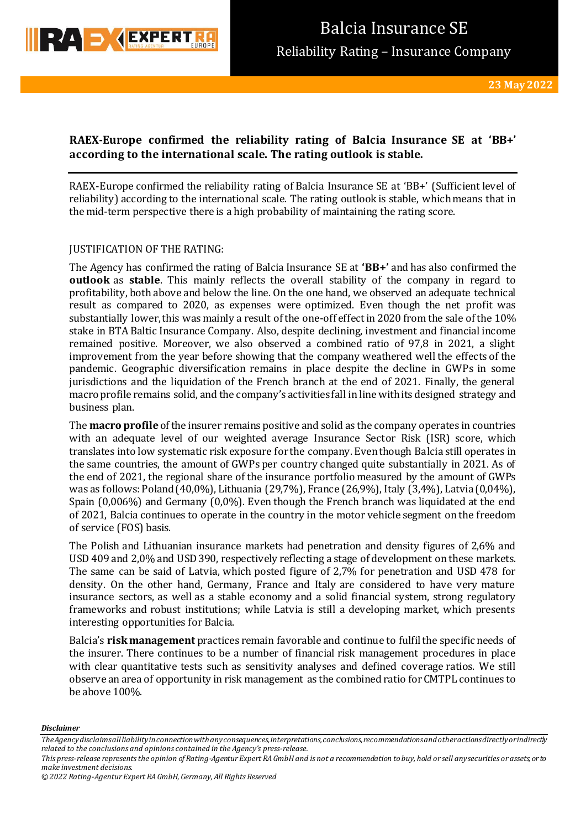

# **RAEX-Europe confirmed the reliability rating of Balcia Insurance SE at 'BB+' according to the international scale. The rating outlook is stable.**

RAEX-Europe confirmed the reliability rating of Balcia Insurance SE at 'BB+' (Sufficient level of reliability) according to the international scale. The rating outlook is stable, which means that in the mid-term perspective there is a high probability of maintaining the rating score.

### JUSTIFICATION OF THE RATING:

The Agency has confirmed the rating of Balcia Insurance SE at **'BB+'** and has also confirmed the **outlook** as **stable**. This mainly reflects the overall stability of the company in regard to profitability, both above and below the line. On the one hand, we observed an adequate technical result as compared to 2020, as expenses were optimized. Even though the net profit was substantially lower, this was mainly a result of the one-off effect in 2020 from the sale of the 10% stake in BTA Baltic Insurance Company. Also, despite declining, investment and financial income remained positive. Moreover, we also observed a combined ratio of 97,8 in 2021, a slight improvement from the year before showing that the company weathered well the effects of the pandemic. Geographic diversification remains in place despite the decline in GWPs in some jurisdictions and the liquidation of the French branch at the end of 2021. Finally, the general macro profile remains solid, and the company's activities fall in line with its designed strategy and business plan.

The **macro profile** of the insurer remains positive and solid as the company operates in countries with an adequate level of our weighted average Insurance Sector Risk (ISR) score, which translates into low systematic risk exposure for the company. Even though Balcia still operates in the same countries, the amount of GWPs per country changed quite substantially in 2021. As of the end of 2021, the regional share of the insurance portfolio measured by the amount of GWPs was as follows: Poland (40,0%), Lithuania (29,7%), France (26,9%), Italy (3,4%), Latvia (0,04%), Spain (0,006%) and Germany (0,0%). Even though the French branch was liquidated at the end of 2021, Balcia continues to operate in the country in the motor vehicle segment on the freedom of service (FOS) basis.

The Polish and Lithuanian insurance markets had penetration and density figures of 2,6% and USD 409 and 2,0% and USD 390, respectively reflecting a stage of development on these markets. The same can be said of Latvia, which posted figure of 2,7% for penetration and USD 478 for density. On the other hand, Germany, France and Italy are considered to have very mature insurance sectors, as well as a stable economy and a solid financial system, strong regulatory frameworks and robust institutions; while Latvia is still a developing market, which presents interesting opportunities for Balcia.

Balcia's **risk management** practices remain favorable and continue to fulfil the specific needs of the insurer. There continues to be a number of financial risk management procedures in place with clear quantitative tests such as sensitivity analyses and defined coverage ratios. We still observe an area of opportunity in risk management as the combined ratio for CMTPL continues to be above 100%.

*The Agency disclaims all liability in connection with any consequences, interpretations, conclusions, recommendations and other actions directly or indirectly related to the conclusions and opinions contained in the Agency's press-release.* 

*This press-release represents the opinion of Rating-Agentur Expert RA GmbH and is not a recommendation to buy, hold or sell any securities or assets, or to make investment decisions.*

*<sup>© 2022</sup> Rating-Agentur Expert RA GmbH, Germany, All Rights Reserved*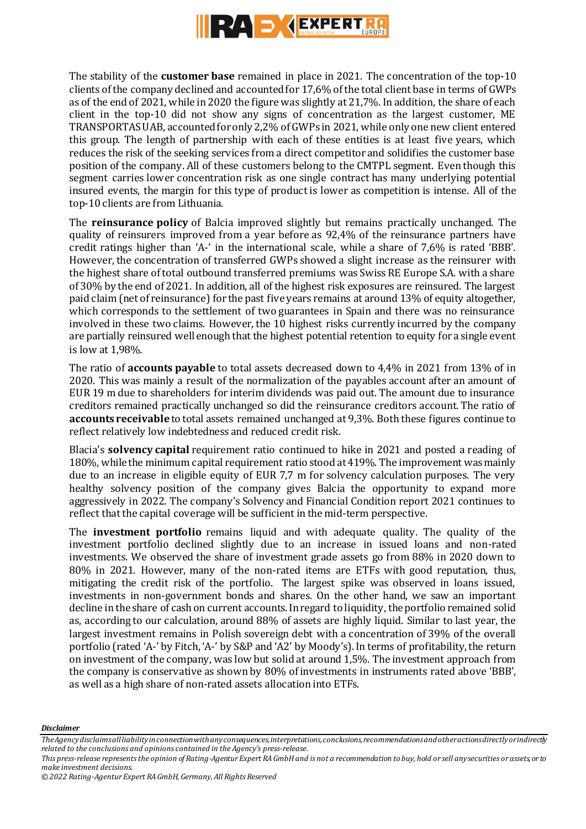

The stability of the **customer base** remained in place in 2021. The concentration of the top-10 clients of the company declined and accounted for 17,6% of the total client base in terms of GWPs as of the end of 2021, while in 2020 the figure was slightly at 21,7%. In addition, the share of each client in the top-10 did not show any signs of concentration as the largest customer, ME TRANSPORTAS UAB, accounted for only 2,2% of GWPs in 2021, while only one new client entered this group. The length of partnership with each of these entities is at least five years, which reduces the risk of the seeking services from a direct competitor and solidifies the customer base position of the company. All of these customers belong to the CMTPL segment. Even though this segment carries lower concentration risk as one single contract has many underlying potential insured events, the margin for this type of product is lower as competition is intense. All of the top-10 clients are from Lithuania.

The **reinsurance policy** of Balcia improved slightly but remains practically unchanged. The quality of reinsurers improved from a year before as 92,4% of the reinsurance partners have credit ratings higher than 'A-' in the international scale, while a share of 7,6% is rated 'BBB'. However, the concentration of transferred GWPs showed a slight increase as the reinsurer with the highest share of total outbound transferred premiums was Swiss RE Europe S.A. with a share of 30% by the end of 2021. In addition, all of the highest risk exposures are reinsured. The largest paid claim (net of reinsurance) for the past five years remains at around 13% of equity altogether, which corresponds to the settlement of two guarantees in Spain and there was no reinsurance involved in these two claims. However, the 10 highest risks currently incurred by the company are partially reinsured well enough that the highest potential retention to equity for a single event is low at 1,98%.

The ratio of **accounts payable** to total assets decreased down to 4,4% in 2021 from 13% of in 2020. This was mainly a result of the normalization of the payables account after an amount of EUR 19 m due to shareholders for interim dividends was paid out. The amount due to insurance creditors remained practically unchanged so did the reinsurance creditors account. The ratio of **accounts receivable** to total assets remained unchanged at 9,3%. Both these figures continue to reflect relatively low indebtedness and reduced credit risk.

Blacia's **solvency capital** requirement ratio continued to hike in 2021 and posted a reading of 180%, while the minimum capital requirement ratio stood at 419%. The improvement was mainly due to an increase in eligible equity of EUR 7,7 m for solvency calculation purposes. The very healthy solvency position of the company gives Balcia the opportunity to expand more aggressively in 2022. The company's Solvency and Financial Condition report 2021 continues to reflect that the capital coverage will be sufficient in the mid-term perspective.

The **investment portfolio** remains liquid and with adequate quality. The quality of the investment portfolio declined slightly due to an increase in issued loans and non-rated investments. We observed the share of investment grade assets go from 88% in 2020 down to 80% in 2021. However, many of the non-rated items are ETFs with good reputation, thus, mitigating the credit risk of the portfolio. The largest spike was observed in loans issued, investments in non-government bonds and shares. On the other hand, we saw an important decline in the share of cash on current accounts. In regard to liquidity, the portfolio remained solid as, according to our calculation, around 88% of assets are highly liquid. Similar to last year, the largest investment remains in Polish sovereign debt with a concentration of 39% of the overall portfolio (rated 'A-' by Fitch, 'A-' by S&P and 'A2' by Moody's). In terms of profitability, the return on investment of the company, was low but solid at around 1,5%. The investment approach from the company is conservative as shown by 80% of investments in instruments rated above 'BBB', as well as a high share of non-rated assets allocation into ETFs.

*The Agency disclaims all liability in connection with any consequences, interpretations, conclusions, recommendations and other actions directly or indirectly related to the conclusions and opinions contained in the Agency's press-release.* 

*This press-release represents the opinion of Rating-Agentur Expert RA GmbH and is not a recommendation to buy, hold or sell any securities or assets, or to make investment decisions.*

*<sup>© 2022</sup> Rating-Agentur Expert RA GmbH, Germany, All Rights Reserved*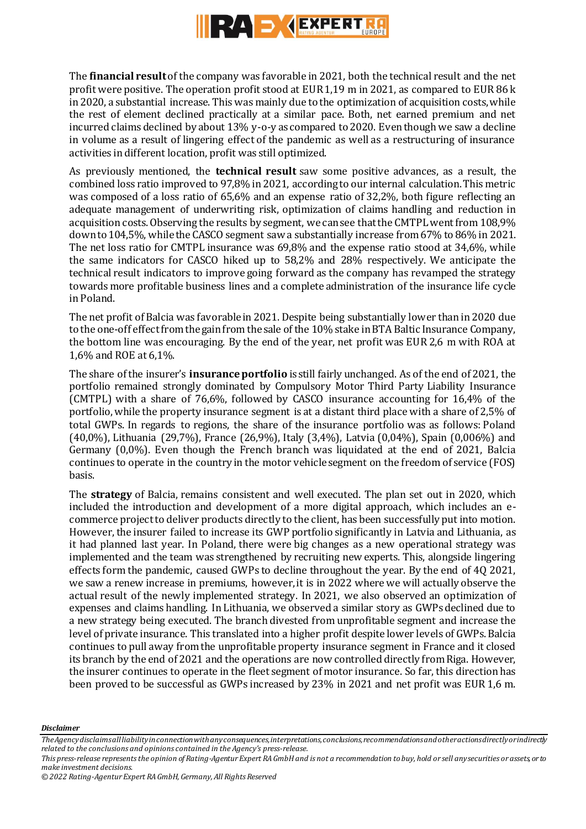

The **financial result**of the company was favorable in 2021, both the technical result and the net profit were positive. The operation profit stood at EUR 1,19 m in 2021, as compared to EUR 86 k in 2020, a substantial increase. This was mainly due to the optimization of acquisition costs, while the rest of element declined practically at a similar pace. Both, net earned premium and net incurred claims declined by about 13% y-o-y as compared to 2020. Even though we saw a decline in volume as a result of lingering effect of the pandemic as well as a restructuring of insurance activities in different location, profit was still optimized.

As previously mentioned, the **technical result** saw some positive advances, as a result, the combined loss ratio improved to 97,8% in 2021, according to our internal calculation. This metric was composed of a loss ratio of 65,6% and an expense ratio of 32,2%, both figure reflecting an adequate management of underwriting risk, optimization of claims handling and reduction in acquisition costs. Observing the results by segment, we can see that the CMTPL went from 108,9% down to 104,5%, while the CASCO segment saw a substantially increase from 67% to 86% in 2021. The net loss ratio for CMTPL insurance was 69,8% and the expense ratio stood at 34,6%, while the same indicators for CASCO hiked up to 58,2% and 28% respectively. We anticipate the technical result indicators to improve going forward as the company has revamped the strategy towards more profitable business lines and a complete administration of the insurance life cycle in Poland.

The net profit of Balcia was favorable in 2021. Despite being substantially lower than in 2020 due to the one-off effect from the gain from the sale of the 10% stake in BTA Baltic Insurance Company, the bottom line was encouraging. By the end of the year, net profit was EUR 2,6 m with ROA at 1,6% and ROE at 6,1%.

The share of the insurer's **insurance portfolio** is still fairly unchanged. As of the end of 2021, the portfolio remained strongly dominated by Compulsory Motor Third Party Liability Insurance (CMTPL) with a share of 76,6%, followed by CASCO insurance accounting for 16,4% of the portfolio, while the property insurance segment is at a distant third place with a share of 2,5% of total GWPs. In regards to regions, the share of the insurance portfolio was as follows: Poland (40,0%), Lithuania (29,7%), France (26,9%), Italy (3,4%), Latvia (0,04%), Spain (0,006%) and Germany (0,0%). Even though the French branch was liquidated at the end of 2021, Balcia continues to operate in the country in the motor vehicle segment on the freedom of service (FOS) basis.

The **strategy** of Balcia, remains consistent and well executed. The plan set out in 2020, which included the introduction and development of a more digital approach, which includes an ecommerce project to deliver products directly to the client, has been successfully put into motion. However, the insurer failed to increase its GWP portfolio significantly in Latvia and Lithuania, as it had planned last year. In Poland, there were big changes as a new operational strategy was implemented and the team was strengthened by recruiting new experts. This, alongside lingering effects form the pandemic, caused GWPs to decline throughout the year. By the end of 4Q 2021, we saw a renew increase in premiums, however, it is in 2022 where we will actually observe the actual result of the newly implemented strategy. In 2021, we also observed an optimization of expenses and claims handling. In Lithuania, we observed a similar story as GWPs declined due to a new strategy being executed. The branch divested from unprofitable segment and increase the level of private insurance. This translated into a higher profit despite lower levels of GWPs. Balcia continues to pull away from the unprofitable property insurance segment in France and it closed its branch by the end of 2021 and the operations are now controlled directly from Riga. However, the insurer continues to operate in the fleet segment of motor insurance. So far, this direction has been proved to be successful as GWPs increased by 23% in 2021 and net profit was EUR 1,6 m.

*The Agency disclaims all liability in connection with any consequences, interpretations, conclusions, recommendations and other actions directly or indirectly related to the conclusions and opinions contained in the Agency's press-release.* 

*This press-release represents the opinion of Rating-Agentur Expert RA GmbH and is not a recommendation to buy, hold or sell any securities or assets, or to make investment decisions.*

*<sup>© 2022</sup> Rating-Agentur Expert RA GmbH, Germany, All Rights Reserved*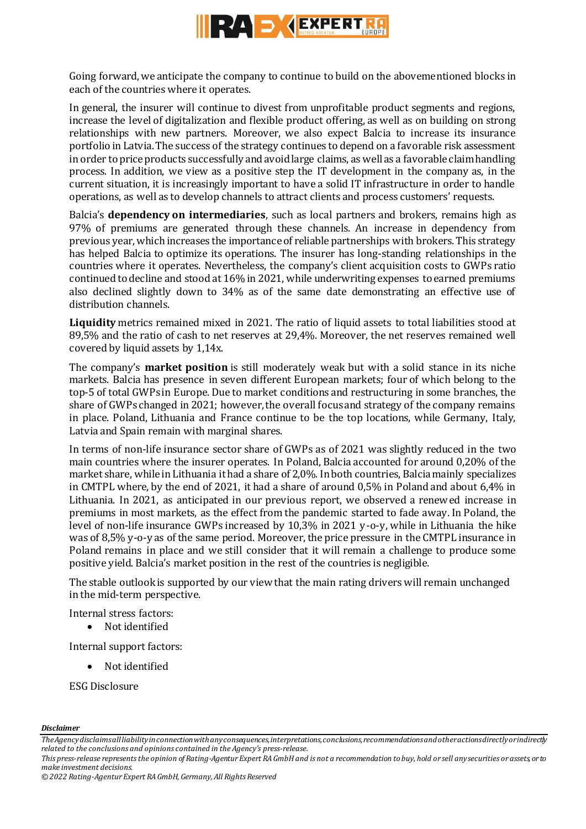

Going forward, we anticipate the company to continue to build on the abovementioned blocks in each of the countries where it operates.

In general, the insurer will continue to divest from unprofitable product segments and regions, increase the level of digitalization and flexible product offering, as well as on building on strong relationships with new partners. Moreover, we also expect Balcia to increase its insurance portfolio in Latvia. The success of the strategy continues to depend on a favorable risk assessment in order to price products successfully and avoid large claims, as well as a favorable claim handling process. In addition, we view as a positive step the IT development in the company as, in the current situation, it is increasingly important to have a solid IT infrastructure in order to handle operations, as well as to develop channels to attract clients and process customers' requests.

Balcia's **dependency on intermediaries**, such as local partners and brokers, remains high as 97% of premiums are generated through these channels. An increase in dependency from previous year, which increases the importance of reliable partnerships with brokers. This strategy has helped Balcia to optimize its operations. The insurer has long-standing relationships in the countries where it operates. Nevertheless, the company's client acquisition costs to GWPs ratio continued to decline and stood at 16% in 2021, while underwriting expenses to earned premiums also declined slightly down to 34% as of the same date demonstrating an effective use of distribution channels.

**Liquidity** metrics remained mixed in 2021. The ratio of liquid assets to total liabilities stood at 89,5% and the ratio of cash to net reserves at 29,4%. Moreover, the net reserves remained well covered by liquid assets by 1,14x.

The company's **market position** is still moderately weak but with a solid stance in its niche markets. Balcia has presence in seven different European markets; four of which belong to the top-5 of total GWPs in Europe. Due to market conditions and restructuring in some branches, the share of GWPs changed in 2021; however, the overall focus and strategy of the company remains in place. Poland, Lithuania and France continue to be the top locations, while Germany, Italy, Latvia and Spain remain with marginal shares.

In terms of non-life insurance sector share of GWPs as of 2021 was slightly reduced in the two main countries where the insurer operates. In Poland, Balcia accounted for around 0,20% of the market share, while in Lithuania it had a share of 2,0%. In both countries, Balcia mainly specializes in CMTPL where, by the end of 2021, it had a share of around 0,5% in Poland and about 6,4% in Lithuania. In 2021, as anticipated in our previous report, we observed a renewed increase in premiums in most markets, as the effect from the pandemic started to fade away. In Poland, the level of non-life insurance GWPs increased by 10,3% in 2021 y-o-y, while in Lithuania the hike was of 8,5% y-o-y as of the same period. Moreover, the price pressure in the CMTPL insurance in Poland remains in place and we still consider that it will remain a challenge to produce some positive yield. Balcia's market position in the rest of the countries is negligible.

The stable outlook is supported by our view that the main rating drivers will remain unchanged in the mid-term perspective.

Internal stress factors:

• Not identified

Internal support factors:

Not identified

ESG Disclosure

*The Agency disclaims all liability in connection with any consequences, interpretations, conclusions, recommendations and other actions directly or indirectly related to the conclusions and opinions contained in the Agency's press-release.* 

*This press-release represents the opinion of Rating-Agentur Expert RA GmbH and is not a recommendation to buy, hold or sell any securities or assets, or to make investment decisions.*

*<sup>© 2022</sup> Rating-Agentur Expert RA GmbH, Germany, All Rights Reserved*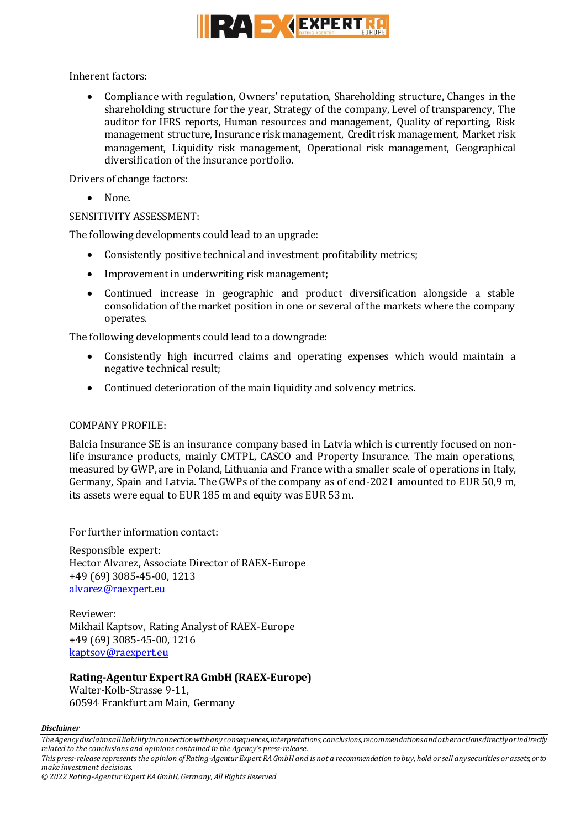

Inherent factors:

 Compliance with regulation, Owners' reputation, Shareholding structure, Changes in the shareholding structure for the year, Strategy of the company, Level of transparency, The auditor for IFRS reports, Human resources and management, Quality of reporting, Risk management structure, Insurance risk management, Credit risk management, Market risk management, Liquidity risk management, Operational risk management, Geographical diversification of the insurance portfolio.

Drivers of change factors:

• None.

## SENSITIVITY ASSESSMENT:

The following developments could lead to an upgrade:

- Consistently positive technical and investment profitability metrics;
- Improvement in underwriting risk management;
- Continued increase in geographic and product diversification alongside a stable consolidation of the market position in one or several of the markets where the company operates.

The following developments could lead to a downgrade:

- Consistently high incurred claims and operating expenses which would maintain a negative technical result;
- Continued deterioration of the main liquidity and solvency metrics.

## COMPANY PROFILE:

Balcia Insurance SE is an insurance company based in Latvia which is currently focused on nonlife insurance products, mainly CMTPL, CASCO and Property Insurance. The main operations, measured by GWP, are in Poland, Lithuania and France with a smaller scale of operations in Italy, Germany, Spain and Latvia. The GWPs of the company as of end-2021 amounted to EUR 50,9 m, its assets were equal to EUR 185 m and equity was EUR 53 m.

For further information contact:

Responsible expert: Hector Alvarez, Associate Director of RAEX-Europe +49 (69) 3085-45-00, 1213 [alvarez@raexpert.eu](mailto:alvarez@raexpert.eu)

Reviewer: Mikhail Kaptsov, Rating Analyst of RAEX-Europe +49 (69) 3085-45-00, 1216 [kaptsov@raexpert.eu](mailto:kaptsov@raexpert.eu)

**Rating-Agentur Expert RA GmbH (RAEX-Europe)** Walter-Kolb-Strasse 9-11, 60594 Frankfurt am Main, Germany

*The Agency disclaims all liability in connection with any consequences, interpretations, conclusions, recommendations and other actions directly or indirectly related to the conclusions and opinions contained in the Agency's press-release.* 

*This press-release represents the opinion of Rating-Agentur Expert RA GmbH and is not a recommendation to buy, hold or sell any securities or assets, or to make investment decisions.*

*<sup>© 2022</sup> Rating-Agentur Expert RA GmbH, Germany, All Rights Reserved*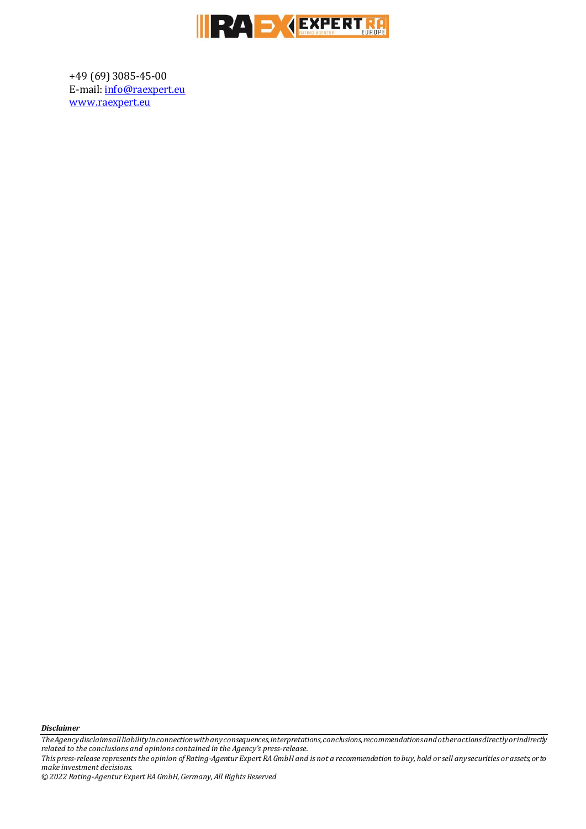

+49 (69) 3085-45-00 E-mail[: info@raexpert.eu](mailto:info@raexpert.eu) [www.raexpert.eu](http://raexpert.eu/)

*Disclaimer* 

*The Agency disclaims all liability in connection with any consequences, interpretations, conclusions, recommendations and other actions directly or indirectly related to the conclusions and opinions contained in the Agency's press-release.*

*This press-release represents the opinion of Rating-Agentur Expert RA GmbH and is not a recommendation to buy, hold or sell any securities or assets, or to make investment decisions.*

*© 2022 Rating-Agentur Expert RA GmbH, Germany, All Rights Reserved*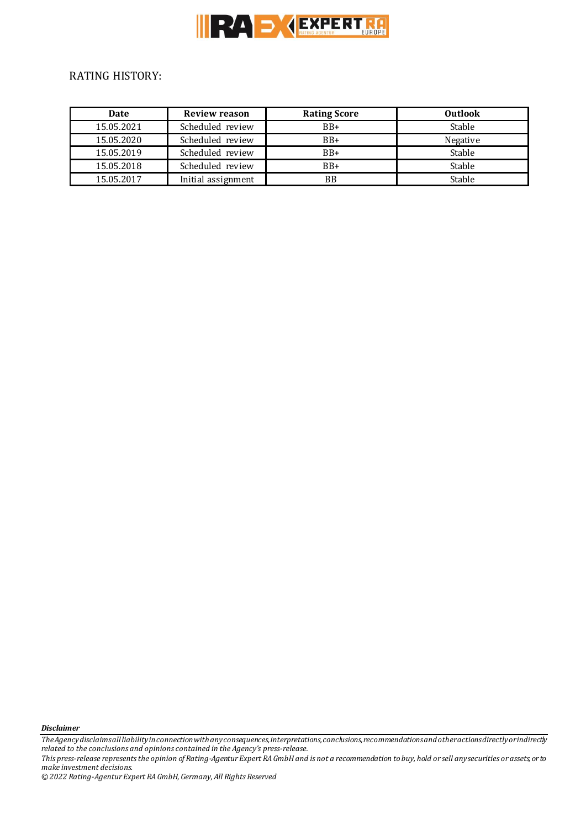

## RATING HISTORY:

| <b>Date</b> | <b>Review reason</b> | <b>Rating Score</b> | <b>Outlook</b> |
|-------------|----------------------|---------------------|----------------|
| 15.05.2021  | Scheduled review     | $BB+$               | Stable         |
| 15.05.2020  | Scheduled review     | $BB+$               | Negative       |
| 15.05.2019  | Scheduled review     | $BB+$               | Stable         |
| 15.05.2018  | Scheduled review     | $BB+$               | Stable         |
| 15.05.2017  | Initial assignment   | BB                  | Stable         |

*Disclaimer* 

*The Agency disclaims all liability in connection with any consequences, interpretations, conclusions, recommendations and other actions directly or indirectly related to the conclusions and opinions contained in the Agency's press-release.*

*This press-release represents the opinion of Rating-Agentur Expert RA GmbH and is not a recommendation to buy, hold or sell any securities or assets, or to make investment decisions.*

*© 2022 Rating-Agentur Expert RA GmbH, Germany, All Rights Reserved*